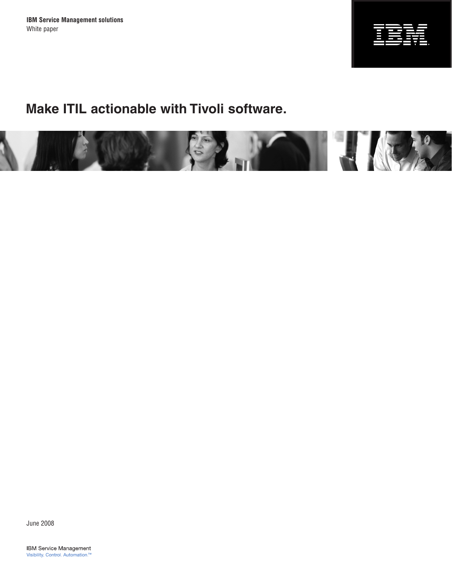**IBM Service Management solutions** White paper



# **Make ITIL actionable with Tivoli software.**



June 2008

**IBM Service Management** Visibility. Control. Automation.™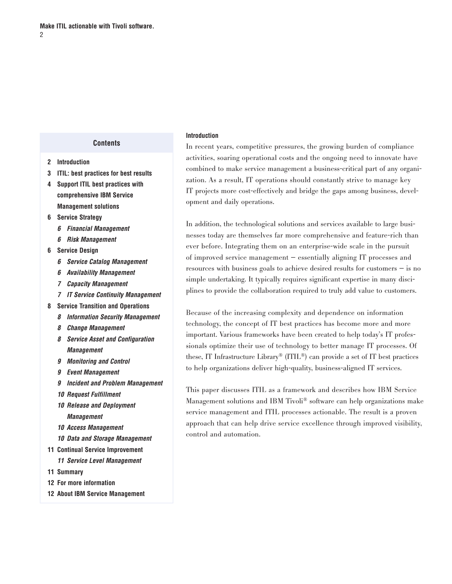#### **Contents**

- **2 Introduction**
- **3 [ITIL: best practices for best results](#page-2-0)**
- **4 [Support ITIL best practices with](#page-3-0)  [comprehensive IBM Service](#page-3-0)  [Management solutions](#page-3-0)**
- **6 [Service Strategy](#page-5-0)**
	- *6 [Financial Management](#page-5-0)*
	- *6 [Risk Management](#page-5-0)*
- **6 [Service Design](#page-5-0)**
	- *6 [Service Catalog Management](#page-5-0)*
	- *6 [Availability Management](#page-5-0)*
	- *7 [Capacity Management](#page-6-0)*
	- *7 [IT Service Continuity Management](#page-6-0)*
- **8 [Service Transition and Operations](#page-7-0)**
	- *8 [Information Security Management](#page-6-0)*
	- *8 [Change Management](#page-7-0)*
	- *8 [Service Asset and Configuration](#page-7-0)  [Management](#page-7-0)*
	- *9 [Monitoring and Control](#page-8-0)*
	- *9 [Event Management](#page-8-0)*
	- *9 [Incident and Problem Management](#page-8-0)*
	- *10 [Request Fulfillment](#page-9-0)*
	- *10 [Release and Deployment](#page-9-0)  [Management](#page-9-0)*
	- *10 [Access Management](#page-9-0)*
	- *10 [Data and Storage Management](#page-10-0)*
- **11 [Continual Service Improvement](#page-10-0)**
- *11 [Service Level Management](#page-10-0)*
- **11 [Summary](#page-10-0)**
- **12 [For more information](#page-11-0)**
- **12 [About IBM Service Management](#page-11-0)**

#### **Introduction**

In recent years, competitive pressures, the growing burden of compliance activities, soaring operational costs and the ongoing need to innovate have combined to make service management a business-critical part of any organization. As a result, IT operations should constantly strive to manage key IT projects more cost-effectively and bridge the gaps among business, development and daily operations.

In addition, the technological solutions and services available to large businesses today are themselves far more comprehensive and feature-rich than ever before. Integrating them on an enterprise-wide scale in the pursuit of improved service management — essentially aligning IT processes and resources with business goals to achieve desired results for customers — is no simple undertaking. It typically requires significant expertise in many disciplines to provide the collaboration required to truly add value to customers.

Because of the increasing complexity and dependence on information technology, the concept of IT best practices has become more and more important. Various frameworks have been created to help today's IT professionals optimize their use of technology to better manage IT processes. Of these, IT Infrastructure Library® (ITIL®) can provide a set of IT best practices to help organizations deliver high-quality, business-aligned IT services.

This paper discusses ITIL as a framework and describes how IBM Service Management solutions and IBM Tivoli® software can help organizations make service management and ITIL processes actionable. The result is a proven approach that can help drive service excellence through improved visibility, control and automation.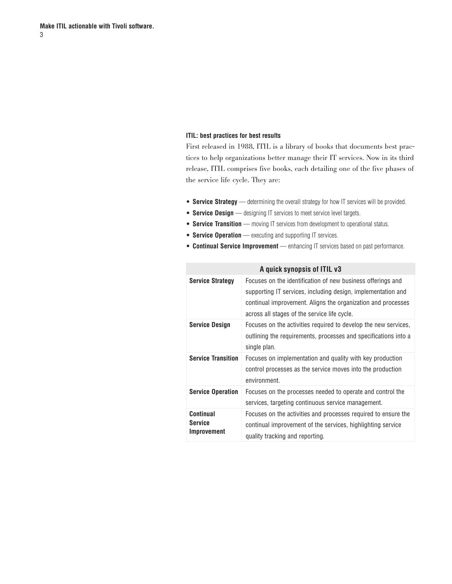#### <span id="page-2-0"></span>**ITIL: best practices for best results**

First released in 1988, ITIL is a library of books that documents best practices to help organizations better manage their IT services. Now in its third release, ITIL comprises five books, each detailing one of the five phases of the service life cycle. They are:

- **Service Strategy** determining the overall strategy for how IT services will be provided.
- **Service Design** designing IT services to meet service level targets.
- **Service Transition** moving IT services from development to operational status.
- **Service Operation** executing and supporting IT services.
- **Continual Service Improvement** enhancing IT services based on past performance.

| A quick synopsis of ITIL v3                |                                                                                                                                                                                                                                             |  |  |  |  |
|--------------------------------------------|---------------------------------------------------------------------------------------------------------------------------------------------------------------------------------------------------------------------------------------------|--|--|--|--|
| <b>Service Strategy</b>                    | Focuses on the identification of new business offerings and<br>supporting IT services, including design, implementation and<br>continual improvement. Aligns the organization and processes<br>across all stages of the service life cycle. |  |  |  |  |
| <b>Service Design</b>                      | Focuses on the activities required to develop the new services,<br>outlining the requirements, processes and specifications into a<br>single plan.                                                                                          |  |  |  |  |
| <b>Service Transition</b>                  | Focuses on implementation and quality with key production<br>control processes as the service moves into the production<br>environment.                                                                                                     |  |  |  |  |
| <b>Service Operation</b>                   | Focuses on the processes needed to operate and control the<br>services, targeting continuous service management.                                                                                                                            |  |  |  |  |
| Continual<br><b>Service</b><br>Improvement | Focuses on the activities and processes required to ensure the<br>continual improvement of the services, highlighting service<br>quality tracking and reporting.                                                                            |  |  |  |  |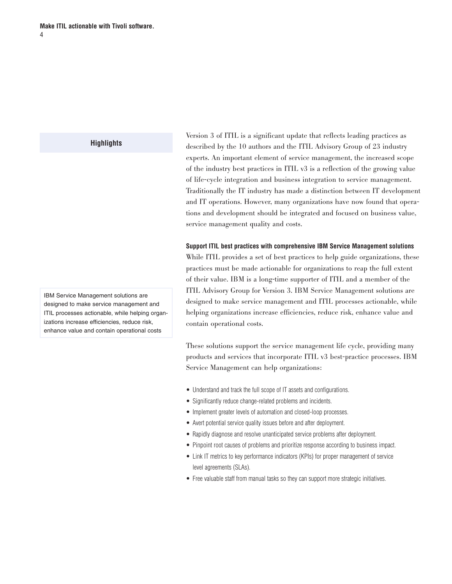described by the 10 authors and the ITIL Advisory Group of 23 industry experts. An important element of service management, the increased scope of the industry best practices in ITIL v3 is a reflection of the growing value of life-cycle integration and business integration to service management. Traditionally the IT industry has made a distinction between IT development and IT operations. However, many organizations have now found that operations and development should be integrated and focused on business value, service management quality and costs.

<span id="page-3-0"></span>Version 3 of ITIL is a significant update that reflects leading practices as

#### **Support ITIL best practices with comprehensive IBM Service Management solutions**

While ITIL provides a set of best practices to help guide organizations, these practices must be made actionable for organizations to reap the full extent of their value. IBM is a long-time supporter of ITIL and a member of the ITIL Advisory Group for Version 3. IBM Service Management solutions are designed to make service management and ITIL processes actionable, while helping organizations increase efficiencies, reduce risk, enhance value and contain operational costs.

These solutions support the service management life cycle, providing many products and services that incorporate ITIL v3 best-practice processes. IBM Service Management can help organizations:

- Understand and track the full scope of IT assets and configurations.
- Significantly reduce change-related problems and incidents.
- Implement greater levels of automation and closed-loop processes.
- Avert potential service quality issues before and after deployment.
- Rapidly diagnose and resolve unanticipated service problems after deployment.
- Pinpoint root causes of problems and prioritize response according to business impact.
- Link IT metrics to key performance indicators (KPIs) for proper management of service level agreements (SLAs).
- Free valuable staff from manual tasks so they can support more strategic initiatives.

IBM Service Management solutions are designed to make service management and ITIL processes actionable, while helping organizations increase efficiencies, reduce risk, enhance value and contain operational costs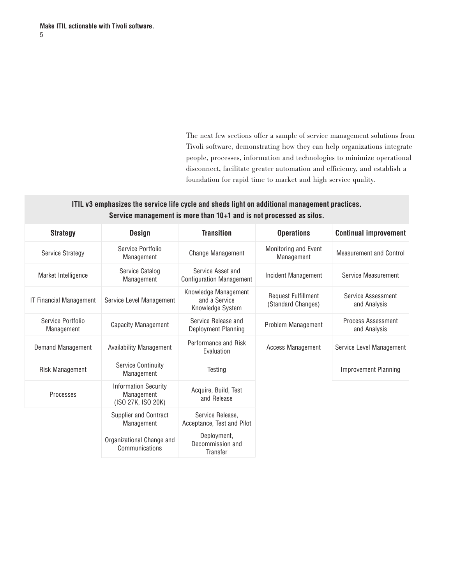The next few sections offer a sample of service management solutions from Tivoli software, demonstrating how they can help organizations integrate people, processes, information and technologies to minimize operational disconnect, facilitate greater automation and efficiency, and establish a foundation for rapid time to market and high service quality.

# **ITIL v3 emphasizes the service life cycle and sheds light on additional management practices. Service management is more than 10+1 and is not processed as silos.**

| <b>Strategy</b>                 | <b>Design</b>                                                   | <b>Transition</b>                                         | <b>Operations</b>                                | <b>Continual improvement</b>       |
|---------------------------------|-----------------------------------------------------------------|-----------------------------------------------------------|--------------------------------------------------|------------------------------------|
| <b>Service Strategy</b>         | Service Portfolio<br>Management                                 | <b>Change Management</b>                                  | Monitoring and Event<br>Management               | <b>Measurement and Control</b>     |
| Market Intelligence             | Service Catalog<br>Management                                   | Service Asset and<br><b>Configuration Management</b>      | Incident Management                              | Service Measurement                |
| <b>IT Financial Management</b>  | Service Level Management                                        | Knowledge Management<br>and a Service<br>Knowledge System | <b>Request Fulfillment</b><br>(Standard Changes) | Service Assessment<br>and Analysis |
| Service Portfolio<br>Management | <b>Capacity Management</b>                                      | Service Release and<br>Deployment Planning                | Problem Management                               | Process Assessment<br>and Analysis |
| Demand Management               | <b>Availability Management</b>                                  | Performance and Risk<br>Evaluation                        | Access Management                                | Service Level Management           |
| Risk Management                 | <b>Service Continuity</b><br>Management                         | Testing                                                   |                                                  | <b>Improvement Planning</b>        |
| Processes                       | <b>Information Security</b><br>Management<br>(ISO 27K, ISO 20K) | Acquire, Build, Test<br>and Release                       |                                                  |                                    |
|                                 | Supplier and Contract<br>Management                             | Service Release,<br>Acceptance, Test and Pilot            |                                                  |                                    |
|                                 | Organizational Change and<br>Communications                     | Deployment,<br>Decommission and<br>Transfer               |                                                  |                                    |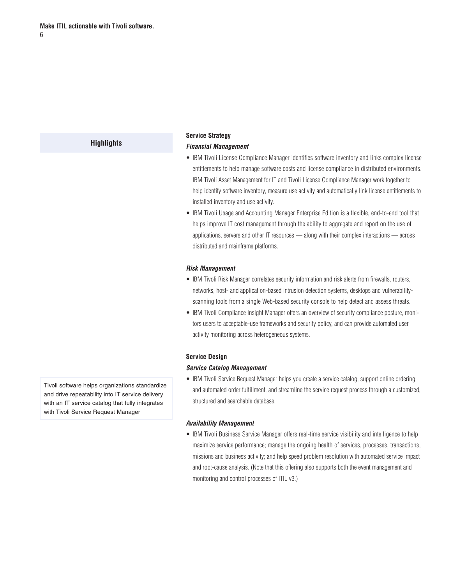# <span id="page-5-0"></span>**Service Strategy**

#### *Financial Management*

- IBM Tivoli License Compliance Manager identifies software inventory and links complex license entitlements to help manage software costs and license compliance in distributed environments. IBM Tivoli Asset Management for IT and Tivoli License Compliance Manager work together to help identify software inventory, measure use activity and automatically link license entitlements to installed inventory and use activity.
- IBM Tivoli Usage and Accounting Manager Enterprise Edition is a flexible, end-to-end tool that helps improve IT cost management through the ability to aggregate and report on the use of applications, servers and other IT resources — along with their complex interactions — across distributed and mainframe platforms.

#### *Risk Management*

- IBM Tivoli Risk Manager correlates security information and risk alerts from firewalls, routers, networks, host- and application-based intrusion detection systems, desktops and vulnerabilityscanning tools from a single Web-based security console to help detect and assess threats.
- IBM Tivoli Compliance Insight Manager offers an overview of security compliance posture, monitors users to acceptable-use frameworks and security policy, and can provide automated user activity monitoring across heterogeneous systems.

#### **Service Design**

#### *Service Catalog Management*

• IBM Tivoli Service Request Manager helps you create a service catalog, support online ordering and automated order fulfillment, and streamline the service request process through a customized, structured and searchable database.

## *Availability Management*

• IBM Tivoli Business Service Manager offers real-time service visibility and intelligence to help maximize service performance; manage the ongoing health of services, processes, transactions, missions and business activity; and help speed problem resolution with automated service impact and root-cause analysis. (Note that this offering also supports both the event management and monitoring and control processes of ITIL v3.)

Tivoli software helps organizations standardize and drive repeatability into IT service delivery with an IT service catalog that fully integrates with Tivoli Service Request Manager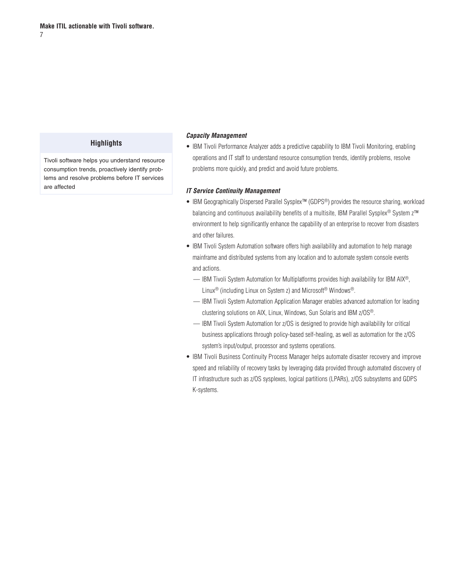<span id="page-6-0"></span>Tivoli software helps you understand resource consumption trends, proactively identify problems and resolve problems before IT services are affected

#### *Capacity Management*

• IBM Tivoli Performance Analyzer adds a predictive capability to IBM Tivoli Monitoring, enabling operations and IT staff to understand resource consumption trends, identify problems, resolve problems more quickly, and predict and avoid future problems.

#### *IT Service Continuity Management*

- IBM Geographically Dispersed Parallel Sysplex™ (GDPS®) provides the resource sharing, workload balancing and continuous availability benefits of a multisite, IBM Parallel Sysplex® System z<sup>™</sup> environment to help significantly enhance the capability of an enterprise to recover from disasters and other failures.
- IBM Tivoli System Automation software offers high availability and automation to help manage mainframe and distributed systems from any location and to automate system console events and actions.
	- IBM Tivoli System Automation for Multiplatforms provides high availability for IBM AIX®, Linux® (including Linux on System z) and Microsoft® Windows®.
	- IBM Tivoli System Automation Application Manager enables advanced automation for leading clustering solutions on AIX, Linux, Windows, Sun Solaris and IBM z/OS®.
	- IBM Tivoli System Automation for z/OS is designed to provide high availability for critical business applications through policy-based self-healing, as well as automation for the z/OS system's input/output, processor and systems operations.
- IBM Tivoli Business Continuity Process Manager helps automate disaster recovery and improve speed and reliability of recovery tasks by leveraging data provided through automated discovery of IT infrastructure such as z/OS sysplexes, logical partitions (LPARs), z/OS subsystems and GDPS K-systems.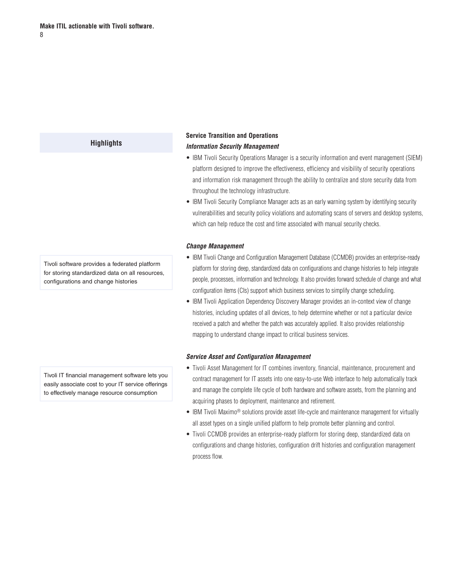# <span id="page-7-0"></span>**Service Transition and Operations** *Information Security Management*

- IBM Tivoli Security Operations Manager is a security information and event management (SIEM) platform designed to improve the effectiveness, efficiency and visibility of security operations and information risk management through the ability to centralize and store security data from throughout the technology infrastructure.
- IBM Tivoli Security Compliance Manager acts as an early warning system by identifying security vulnerabilities and security policy violations and automating scans of servers and desktop systems, which can help reduce the cost and time associated with manual security checks.

#### *Change Management*

- IBM Tivoli Change and Configuration Management Database (CCMDB) provides an enterprise-ready platform for storing deep, standardized data on configurations and change histories to help integrate people, processes, information and technology. It also provides forward schedule of change and what configuration items (CIs) support which business services to simplify change scheduling.
- IBM Tivoli Application Dependency Discovery Manager provides an in-context view of change histories, including updates of all devices, to help determine whether or not a particular device received a patch and whether the patch was accurately applied. It also provides relationship mapping to understand change impact to critical business services.

#### *Service Asset and Configuration Management*

- Tivoli Asset Management for IT combines inventory, financial, maintenance, procurement and contract management for IT assets into one easy-to-use Web interface to help automatically track and manage the complete life cycle of both hardware and software assets, from the planning and acquiring phases to deployment, maintenance and retirement.
- IBM Tivoli Maximo<sup>®</sup> solutions provide asset life-cycle and maintenance management for virtually all asset types on a single unified platform to help promote better planning and control.
- Tivoli CCMDB provides an enterprise-ready platform for storing deep, standardized data on configurations and change histories, configuration drift histories and configuration management process flow.

Tivoli software provides a federated platform for storing standardized data on all resources, configurations and change histories

Tivoli IT financial management software lets you easily associate cost to your IT service offerings to effectively manage resource consumption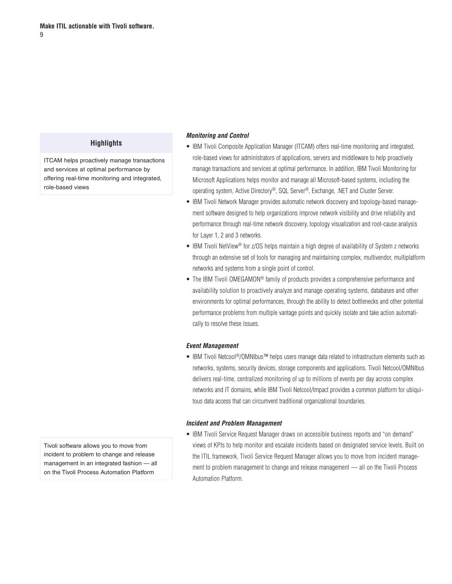<span id="page-8-0"></span>ITCAM helps proactively manage transactions and services at optimal performance by offering real-time monitoring and integrated, role-based views

#### *Monitoring and Control*

- IBM Tivoli Composite Application Manager (ITCAM) offers real-time monitoring and integrated, role-based views for administrators of applications, servers and middleware to help proactively manage transactions and services at optimal performance. In addition, IBM Tivoli Monitoring for Microsoft Applications helps monitor and manage all Microsoft-based systems, including the operating system, Active Directory®, SQL Server®, Exchange, .NET and Cluster Server.
- IBM Tivoli Network Manager provides automatic network discovery and topology-based management software designed to help organizations improve network visibility and drive reliability and performance through real-time network discovery, topology visualization and root-cause analysis for Layer 1, 2 and 3 networks.
- IBM Tivoli NetView<sup>®</sup> for z/OS helps maintain a high degree of availability of System z networks through an extensive set of tools for managing and maintaining complex, multivendor, multiplatform networks and systems from a single point of control.
- The IBM Tivoli OMEGAMON<sup>®</sup> family of products provides a comprehensive performance and availability solution to proactively analyze and manage operating systems, databases and other environments for optimal performances, through the ability to detect bottlenecks and other potential performance problems from multiple vantage points and quickly isolate and take action automatically to resolve these issues.

#### *Event Management*

• IBM Tivoli Netcool®/OMNIbus™ helps users manage data related to infrastructure elements such as networks, systems, security devices, storage components and applications. Tivoli Netcool/OMNIbus delivers real-time, centralized monitoring of up to millions of events per day across complex networks and IT domains, while IBM Tivoli Netcool/Impact provides a common platform for ubiquitous data access that can circumvent traditional organizational boundaries.

#### *Incident and Problem Management*

• IBM Tivoli Service Request Manager draws on accessible business reports and "on demand" views of KPIs to help monitor and escalate incidents based on designated service levels. Built on the ITIL framework, Tivoli Service Request Manager allows you to move from incident management to problem management to change and release management — all on the Tivoli Process Automation Platform.

Tivoli software allows you to move from incident to problem to change and release management in an integrated fashion — all on the Tivoli Process Automation Platform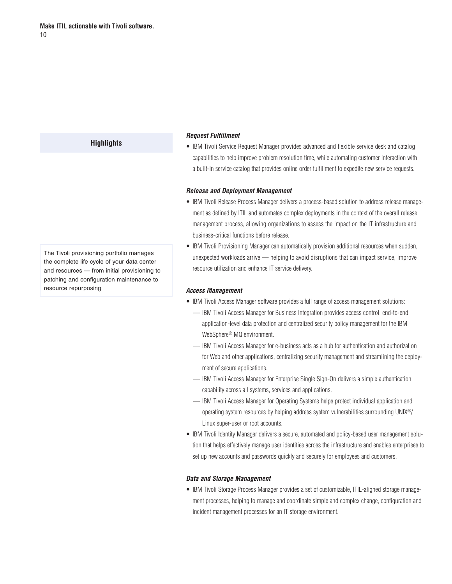#### <span id="page-9-0"></span>*Request Fulfillment*

• IBM Tivoli Service Request Manager provides advanced and flexible service desk and catalog capabilities to help improve problem resolution time, while automating customer interaction with a built-in service catalog that provides online order fulfillment to expedite new service requests.

#### *Release and Deployment Management*

- IBM Tivoli Release Process Manager delivers a process-based solution to address release management as defined by ITIL and automates complex deployments in the context of the overall release management process, allowing organizations to assess the impact on the IT infrastructure and business-critical functions before release.
- IBM Tivoli Provisioning Manager can automatically provision additional resources when sudden, unexpected workloads arrive — helping to avoid disruptions that can impact service, improve resource utilization and enhance IT service delivery.

#### *Access Management*

- IBM Tivoli Access Manager software provides a full range of access management solutions:
	- IBM Tivoli Access Manager for Business Integration provides access control, end-to-end application-level data protection and centralized security policy management for the IBM WebSphere® MQ environment.
	- IBM Tivoli Access Manager for e-business acts as a hub for authentication and authorization for Web and other applications, centralizing security management and streamlining the deployment of secure applications.
	- IBM Tivoli Access Manager for Enterprise Single Sign-On delivers a simple authentication capability across all systems, services and applications.
	- IBM Tivoli Access Manager for Operating Systems helps protect individual application and operating system resources by helping address system vulnerabilities surrounding UNIX®/ Linux super-user or root accounts.
- IBM Tivoli Identity Manager delivers a secure, automated and policy-based user management solution that helps effectively manage user identities across the infrastructure and enables enterprises to set up new accounts and passwords quickly and securely for employees and customers.

#### *Data and Storage Management*

• IBM Tivoli Storage Process Manager provides a set of customizable, ITIL-aligned storage management processes, helping to manage and coordinate simple and complex change, configuration and incident management processes for an IT storage environment.

The Tivoli provisioning portfolio manages the complete life cycle of your data center and resources — from initial provisioning to patching and configuration maintenance to resource repurposing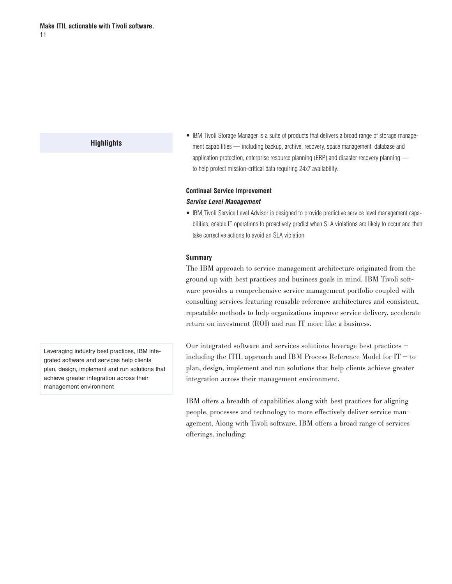<span id="page-10-0"></span>• IBM Tivoli Storage Manager is a suite of products that delivers a broad range of storage management capabilities — including backup, archive, recovery, space management, database and application protection, enterprise resource planning (ERP) and disaster recovery planning to help protect mission-critical data requiring 24x7 availability.

# **Continual Service Improvement** *Service Level Management*

• IBM Tivoli Service Level Advisor is designed to provide predictive service level management capabilities, enable IT operations to proactively predict when SLA violations are likely to occur and then take corrective actions to avoid an SLA violation.

#### **Summary**

The IBM approach to service management architecture originated from the ground up with best practices and business goals in mind. IBM Tivoli software provides a comprehensive service management portfolio coupled with consulting services featuring reusable reference architectures and consistent, repeatable methods to help organizations improve service delivery, accelerate return on investment (ROI) and run IT more like a business.

Our integrated software and services solutions leverage best practices including the ITIL approach and IBM Process Reference Model for  $IT - to$ plan, design, implement and run solutions that help clients achieve greater integration across their management environment.

IBM offers a breadth of capabilities along with best practices for aligning people, processes and technology to more effectively deliver service management. Along with Tivoli software, IBM offers a broad range of services offerings, including:

Leveraging industry best practices, IBM integrated software and services help clients plan, design, implement and run solutions that achieve greater integration across their management environment